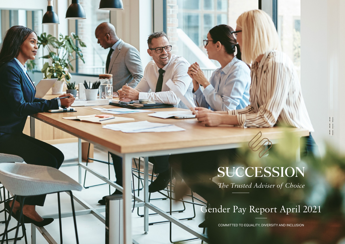# SUCCESSION

*The Trusted Adviser of Choice*

### Gender Pay Report April 2021

COMMITTED TO EQUALITY, DIVERSITY AND INCLUSION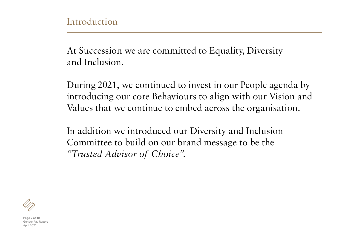At Succession we are committed to Equality, Diversity and Inclusion.

During 2021, we continued to invest in our People agenda by introducing our core Behaviours to align with our Vision and Values that we continue to embed across the organisation.

In addition we introduced our Diversity and Inclusion Committee to build on our brand message to be the *"Trusted Advisor of Choice".*



**Page 2 of 10** Gender Pay Report  $\Delta$ nril 2021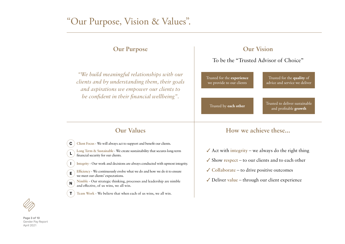### "Our Purpose, Vision & Values".

### **Our Purpose**

*"We build meaningful relationships with our clients and by understanding them, their goals and aspirations we empower our clients to be confident in their financial wellbeing".*

### **Our Vision**

### To be the "Trusted Advisor of Choice"

Trusted for the **experience** we provide to our clients

Trusted for the **quality** of advice and service we deliver

Trusted by **each other** Trusted to deliver sustainable and profitable **growth**

- **C**  $\vdots$  Client Focus We will always act to support and benefit our clients.
- **L Long Term & Sustainable** - We create sustainability that secures long-term financial security for our clients.
- **Integrity**  Our work and decisions are always conducted with upmost integrity.
- **E Efficiency** - We continuously evolve what we do and how we do it to ensure we meet our clients' expectations.
- **N Nimble** - Our strategic thinking, processes and leadership are nimble and effective, of us wins, we all win.
- **T** ) Team Work We believe that when each of us wins, we all win.

### **Our Values How we achieve these...**

- $\triangle$  Act with **integrity** we always do the right thing
- $\checkmark$  Show respect to our clients and to each other
- 3 **Collaborate** to drive positive outcomes
- $\checkmark$  Deliver value through our client experience



**I**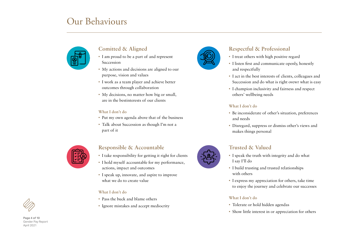### Our Behaviours



### **Comitted & Aligned**

- I am proud to be a part of and represent Succession
- My actions and decisions are aligned to our purpose, vision and values
- I work as a team player and achieve better outcomes through collaboration
- My decisions, no matter how big or small, are in the bestinterests of our clients

#### **What I don't do**

- Put my own agenda above that of the business
- Talk about Succession as though I'm not a part of it



### **Responsible & Accountable**

- I take responsibility for getting it right for clients
- I hold myself accountable for my performance, actions, impact and outcomes
- I speak up, innovate, and aspire to improve what we do to create value

### **What I don't do**

- Pass the buck and blame others
- Ignore mistakes and accept mediocrity



### **Respectful & Professional**

- I treat others with high positive regard
- I listen first and communicate openly, honestly and respectfully
- I act in the best interests of clients, colleagues and Succession and do what is right ovewr what is easy
- I champion inclusivity and fairness and respect others' wellbeing needs

#### **What I don't do**

- Be inconsiderate of other's situation, preferences and needs
- Disregard, suppress or dismiss other's views and makes things personal

### **Trusted & Valued**

- I speak the truth with integrity and do what I say I'll do
- I build trusting and trusted relationships with others
- I express my appreciation for others, take time to enjoy the journey and celebrate our successes

### **What I don't do**

- Tolerate or hold hidden agendas
- Show little interest in or appreciation for others



**Page 4 of 10** Gender Pay Report April 2021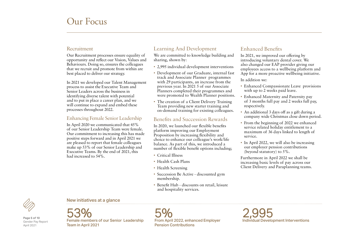### Our Focus

### Recruitment

Our Recruitment processes ensure equality of opportunity and reflect our Vision, Values and Behaviours. Doing so, ensures the colleagues that we recruit and promote from within are best placed to deliver our strategy.

In 2021 we developed our Talent Management process to assist the Executive Team and Senior Leaders across the business in identifying diverse talent with potential and to put in place a career plan, and we will continue to expand and embed these processes throughout 2022.

### Enhancing Female Senior Leadership

In April 2020 we communicated that 45% of our Senior Leadership Team were female. Our commitment to increasing this has made positive steps forward and in April 2021 we are pleased to report that female colleagues make up 53% of our Senior Leadership and Executive Teams. By the end of 2021, this had increased to 54%.

### Learning And Development

We are committed to knowledge building and sharing, shown by:

- 2,995 individual development interventions
- Development of our Graduate, internal fast track and Associate Planner programmes with 29 participants, an increase from the previous year. In 2021 5 of our Associate Planners completed their programmes and were promoted to Wealth Planner positions.
- The creation of a Client Delivery Training Team providing new starter training and on-demand training for existing colleagues.

### Benefits and Succession Rewards

In 2020, we launched our flexible benefits platform improving our Employment Proposition by increasing flexibility and choice to enhance our colleague's work/life balance. As part of this, we introduced a number of flexible benefit options including;

- Critical Illness
- Health Cash Plans
- Health Screening
- Succession Be Active discounted gym membership.
- Benefit Hub discounts on retail, leisure and hospitality services.

### Enhanced Benefits

In 2021, we improved our offering by introducing voluntary dental cover. We also changed our EAP provider giving our employees access to a wellbeing platform and App for a more proactive wellbeing initiative.

In addition we:

- Enhanced Compassionate Leave provisions with up to 2 weeks paid leave.
- Enhanced Maternity and Paternity pay of 3 months full pay and 2 weeks full pay, respectively.
- An additional 3 days off as a gift during a company wide Christmas close down period.
- From the beginning of 2022 we enhanced service related holiday entitlement to a maximum of 36 days linked to length of service.
- In April 2022, we will also be increasing our employer pension contributions (beyond statutory) to 5%.

Furthermore in April 2022 we shall be increasing basic levels of pay across our Client Delivery and Paraplanning teams.



**Page 5 of 10** Gender Pay Report April 2021

New initiatives at a glance

Female members of our Se nior Leadership 53% Team in April 2021

5% From April 2022, enhanced Employer Pension Contributions

2,995 Individual Development Interventions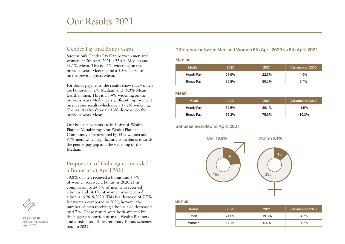### Our Results 2021

### Gender Pay and Bonus Gaps

Succession's Gender Pay Gap between men and women, at 5th April 2021 is 22.9% Median and 36.1% Mean. This is a 1% widening on the previous years Median, and a 1.5% decrease on the previous years Mean.

For Bonus payments, the results show that women are bonused 89.2% Median, and 75.9% Mean less than men. This is a 3.4% widening on the previous years Median, a significant improvement on previous results which saw a 17.2% widening. The results also show a 10.3% decrease on the previous years Mean.

Our bonus payments are inclusive of Wealth Planner Variable Pay. Our Wealth Planner Community is represented by 13% women and 87% men, which significantly contributes towards the gender pay gap and the widening of the Median.

### Proportion of Colleagues Awarded a Bonus as at April 2021

19.8% of men received a bonus and 6.4% of women received a bonus in 2020/21 in comparison to 24.5% of men who received a bonus and 14.1% of women who received a bonus in 2019/2020. This is a decrease of 7.7% for woman compared to 2020, however the number of men receiving a bonus also decreased by 4.7%. These results were both affected by the bigger proportion of male Wealth Planners and a reduction of discretionary bonus schemes paid in 2021.

#### **Page 6 of 10** Gender Pay Report April 2021

### Difference between Men and Women 5th April 2020 vs 5th April 2021

#### Median

| Median     | 2020  | 2021  | Variance on 2020 |
|------------|-------|-------|------------------|
| Hourly Pay | 21.9% | 22.9% | 1.0%             |
| Bonus Pay  | 85.8% | 89.2% | $3.4\%$          |

#### Mean

| Mean       | 2020  | 2021  | Variance on 2020 |
|------------|-------|-------|------------------|
| Hourly Pay | 37.6% | 36.1% | $-1.5%$          |
| Bonus Pay  | 86.2% | 75.9% | $-10.3%$         |

#### Bonuses awarded to April 2021



#### Bonus

| <b>Bonus</b> | 2020  | 2021  | Variance on 2020' |
|--------------|-------|-------|-------------------|
| Men          | 24.5% | 19.8% | $-4.7%$           |
| Women        | 14.1% | 6.4%  | -7.7%             |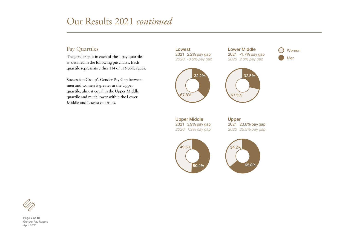### Our Results 2021 *continued*

### Pay Quartiles

The gender split in each of the 4 pay quartiles is detailed in the following pie charts. Each quartile represents either 114 or 115 colleagues.

Succession Group's Gender Pay Gap between men and women is greater at the Upper quartile, almost equal in the Upper Middle quartile and much lower within the Lower Middle and Lowest quartiles.

Lowest 2021 2.2% pay gap *2020 -0.8% pay gap*



Lower Middle 2021 -1.7% pay gap *2020 2.0% pay gap*



32.5%

Women Men

Upper Middle 2021 3.9% pay gap *2020 1.9% pay gap* Upper 2021 23.6% pay gap *2020 25.5% pay gap*







**Page 7 of 10** Gender Pay Report April 2021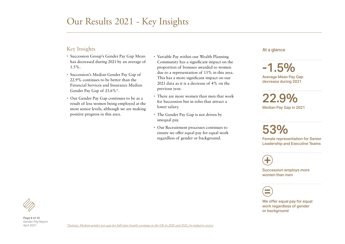### Our Results 2021 - Key Insights

### Key Insights

- Succession Group's Gender Pay Gap Mean has decreased during 2021 by an average of  $1.5\%$ .
- Succession's Median Gender Pay Gap of 22.9% continues to be better than the Financial Services and Insurance Median Gender Pay Gap of 23.6%\*.
- Our Gender Pay Gap continues to be as a result of less women being employed at the most senior levels, although we are making positive progress in this area.
- Variable Pay within our Wealth Planning Community has a significant impact on the proportion of bonuses awarded to women due to a representation of 13% in this area. This has a more significant impact on our 2021 data as it is a decrease of 4% on the previous year.
- There are more women than men that work for Succession but in roles that attract a lower salary.
- The Gender Pay Gap is not driven by unequal pay.
- Our Recruitment processes continues to ensure we offer equal pay for equal work regardless of gender or background.

#### At a glance

 $-1.5\%$ Average Mean Pay Gap decrease during 2021

22.9% Median Pay Gap in 2021

## 53%

Female representation for Senior Leadership and Executive Teams

 $\bigoplus$ 

Succession employs more women than men



We offer equal pay for equal work regardless of gender or background

**Page 8 of 10** Gender Pay Report April 2021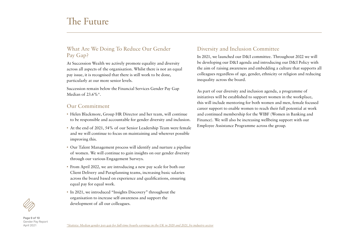### The Future

### What Are We Doing To Reduce Our Gender Pay Gap?

At Succession Wealth we actively promote equality and diversity across all aspects of the organisation. Whilst there is not an equal pay issue, it is recognised that there is still work to be done, particularly at our more senior levels.

Succession remain below the Financial Services Gender Pay Gap Median of 23.6%\*.

### Our Commitment

- Helen Blackmore, Group HR Director and her team, will continue to be responsible and accountable for gender diversity and inclusion.
- At the end of 2021, 54% of our Senior Leadership Team were female and we will continue to focus on maintaining and wherever possible improving this.
- Our Talent Management process will identify and nurture a pipeline of women. We will continue to gain insights on our gender diversity through our various Engagement Surveys.
- From April 2022, we are introducing a new pay scale for both our Client Delivery and Paraplanning teams, increasing basic salaries across the board based on experience and qualifications, ensuring equal pay for equal work.
- In 2021, we introduced "Insights Discovery" throughout the organisation to increase self-awareness and support the development of all our colleagues.

### Diversity and Inclusion Committee

In 2021, we launched our D&I committee. Throughout 2022 we will be developing our D&I agenda and introducing our D&I Policy with the aim of raising awareness and embedding a culture that supports all colleagues regardless of age, gender, ethnicity or religion and reducing inequality across the board.

As part of our diversity and inclusion agenda, a programme of initiatives will be established to support women in the workplace, this will include mentoring for both women and men, female focused career support to enable women to reach their full potential at work and continued membership for the WIBF (Women in Banking and Finance). We will also be increasing wellbeing support with our Employee Assistance Programme across the group.



**Page 9 of 10** Gender Pay Report April 2021